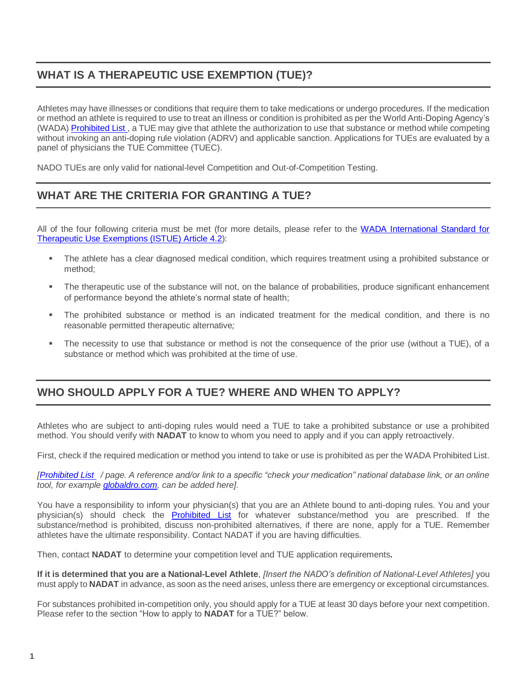# **WHAT IS A THERAPEUTIC USE EXEMPTION (TUE)?**

Athletes may have illnesses or conditions that require them to take medications or undergo procedures. If the medication or method an athlete is required to use to treat an illness or condition is prohibited as per the World Anti-Doping Agency's (WADA[\) Prohibited List](https://www.wada-ama.org/sites/default/files/resources/files/2021list_en.pdf), a TUE may give that athlete the authorization to use that substance or method while competing without invoking an anti-doping rule violation (ADRV) and applicable sanction. Applications for TUEs are evaluated by a panel of physicians the TUE Committee (TUEC).

NADO TUEs are only valid for national-level Competition and Out-of-Competition Testing.

# **WHAT ARE THE CRITERIA FOR GRANTING A TUE?**

All of the four following criteria must be met (for more details, please refer to the [WADA International Standard for](https://www.wada-ama.org/sites/default/files/resources/files/international_standard_istue_-_2020.pdf)  [Therapeutic Use Exemptions \(ISTUE\) Article 4.2\)](https://www.wada-ama.org/sites/default/files/resources/files/international_standard_istue_-_2020.pdf):

- The athlete has a clear diagnosed medical condition, which requires treatment using a prohibited substance or method;
- The therapeutic use of the substance will not, on the balance of probabilities, produce significant enhancement of performance beyond the athlete's normal state of health;
- The prohibited substance or method is an indicated treatment for the medical condition, and there is no reasonable permitted therapeutic alternative*;*
- The necessity to use that substance or method is not the consequence of the prior use (without a TUE), of a substance or method which was prohibited at the time of use.

#### **WHO SHOULD APPLY FOR A TUE? WHERE AND WHEN TO APPLY?**

Athletes who are subject to anti-doping rules would need a TUE to take a prohibited substance or use a prohibited method. You should verify with **NADAT** to know to whom you need to apply and if you can apply retroactively.

First, check if the required medication or method you intend to take or use is prohibited as per the WADA Prohibited List.

*[\[Prohibited List](https://www.wada-ama.org/sites/default/files/resources/files/2021list_en.pdf) / page. A reference and/or link to a specific "check your medication" national database link, or an online tool, for example [globaldro.com,](https://www.globaldro.com/Home) can be added here].*

You have a responsibility to inform your physician(s) that you are an Athlete bound to anti-doping rules. You and your physician(s) should check the **[Prohibited](https://www.wada-ama.org/sites/default/files/resources/files/2021list_en.pdf) List** for whatever substance/method you are prescribed. If the substance/method is prohibited, discuss non-prohibited alternatives, if there are none, apply for a TUE. Remember athletes have the ultimate responsibility. Contact NADAT if you are having difficulties.

Then, contact **NADAT** to determine your competition level and TUE application requirements**.**

**If it is determined that you are a National-Level Athlete**, *[Insert the NADO's definition of National-Level Athletes]* you must apply to **NADAT** in advance, as soon as the need arises, unless there are emergency or exceptional circumstances.

For substances prohibited in-competition only, you should apply for a TUE at least 30 days before your next competition. Please refer to the section "How to apply to **NADAT** for a TUE?" below.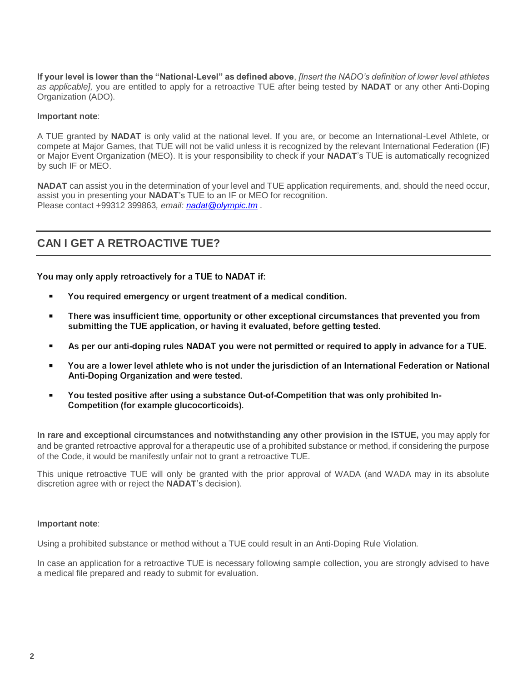**If your level is lower than the "National-Level" as defined above**, *[Insert the NADO's definition of lower level athletes as applicable],* you are entitled to apply for a retroactive TUE after being tested by **NADAT** or any other Anti-Doping Organization (ADO).

#### **Important note**:

A TUE granted by **NADAT** is only valid at the national level. If you are, or become an International-Level Athlete, or compete at Major Games, that TUE will not be valid unless it is recognized by the relevant International Federation (IF) or Major Event Organization (MEO). It is your responsibility to check if your **NADAT**'s TUE is automatically recognized by such IF or MEO.

**NADAT** can assist you in the determination of your level and TUE application requirements, and, should the need occur, assist you in presenting your **NADAT**'s TUE to an IF or MEO for recognition. Please contact +99312 399863*, email: [nadat@olympic.tm](mailto:nadat@olympic.tm) .*

## **CAN I GET A RETROACTIVE TUE?**

You may only apply retroactively for a TUE to NADAT if:

- You required emergency or urgent treatment of a medical condition.  $\blacksquare$
- There was insufficient time, opportunity or other exceptional circumstances that prevented you from submitting the TUE application, or having it evaluated, before getting tested.
- As per our anti-doping rules NADAT you were not permitted or required to apply in advance for a TUE.
- You are a lower level athlete who is not under the jurisdiction of an International Federation or National  $\blacksquare$ Anti-Doping Organization and were tested.
- You tested positive after using a substance Out-of-Competition that was only prohibited In- $\blacksquare$ Competition (for example glucocorticoids).

**In rare and exceptional circumstances and notwithstanding any other provision in the ISTUE,** you may apply for and be granted retroactive approval for a therapeutic use of a prohibited substance or method, if considering the purpose of the Code, it would be manifestly unfair not to grant a retroactive TUE.

This unique retroactive TUE will only be granted with the prior approval of WADA (and WADA may in its absolute discretion agree with or reject the **NADAT**'s decision).

#### **Important note**:

Using a prohibited substance or method without a TUE could result in an Anti-Doping Rule Violation.

In case an application for a retroactive TUE is necessary following sample collection, you are strongly advised to have a medical file prepared and ready to submit for evaluation.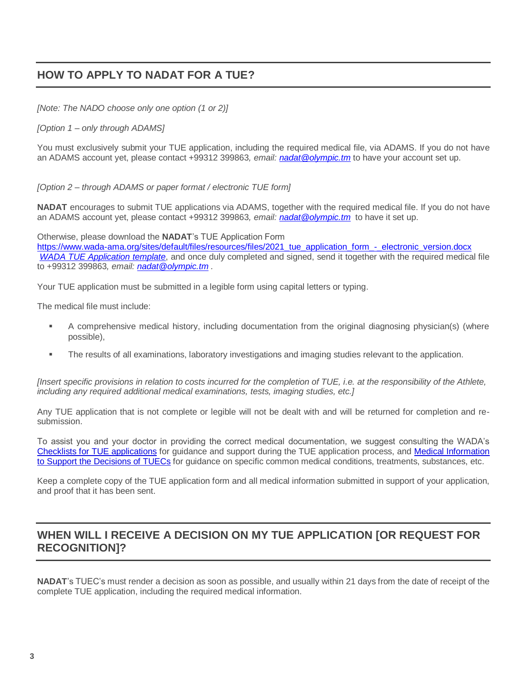## **HOW TO APPLY TO NADAT FOR A TUE?**

*[Note: The NADO choose only one option (1 or 2)]*

*[Option 1 – only through ADAMS]*

You must exclusively submit your TUE application, including the required medical file, via ADAMS. If you do not have an ADAMS account yet, please contact +99312 399863*, email: [nadat@olympic.tm](mailto:nadat@olympic.tm)* to have your account set up.

*[Option 2 – through ADAMS or paper format / electronic TUE form]*

**NADAT** encourages to submit TUE applications via ADAMS, together with the required medical file. If you do not have an ADAMS account yet, please contact +99312 399863*, email: [nadat@olympic.tm](mailto:nadat@olympic.tm)* to have it set up.

Otherwise, please download the **NADAT**'s TUE Application Form

[https://www.wada-ama.org/sites/default/files/resources/files/2021\\_tue\\_application\\_form\\_-\\_electronic\\_version.docx](https://www.wada-ama.org/sites/default/files/resources/files/2021_tue_application_form_-_electronic_version.docx) *[WADA TUE Application template](https://www.wada-ama.org/en/resources/therapeutic-use-exemption-tue/tue-application-form)*, and once duly completed and signed, send it together with the required medical file to +99312 399863*, email: [nadat@olympic.tm](mailto:nadat@olympic.tm) .*

Your TUE application must be submitted in a legible form using capital letters or typing.

The medical file must include:

- A comprehensive medical history, including documentation from the original diagnosing physician(s) (where possible),
- The results of all examinations, laboratory investigations and imaging studies relevant to the application.

*[Insert specific provisions in relation to costs incurred for the completion of TUE, i.e. at the responsibility of the Athlete, including any required additional medical examinations, tests, imaging studies, etc.]*

Any TUE application that is not complete or legible will not be dealt with and will be returned for completion and resubmission.

To assist you and your doctor in providing the correct medical documentation, we suggest consulting the WADA's [Checklists for TUE applications](https://www.wada-ama.org/en/resources/search?f%5B0%5D=field_resource_collections%3A225&f%5B1%5D=field_resource_versions%253Afield_resource_version_language%3A91) for guidance and support during the TUE application process, and [Medical Information](https://www.wada-ama.org/en/resources/search?f%5B0%5D=field_resource_collections%3A158)  [to Support the Decisions of TUECs](https://www.wada-ama.org/en/resources/search?f%5B0%5D=field_resource_collections%3A158) for guidance on specific common medical conditions, treatments, substances, etc.

Keep a complete copy of the TUE application form and all medical information submitted in support of your application, and proof that it has been sent.

## **WHEN WILL I RECEIVE A DECISION ON MY TUE APPLICATION [OR REQUEST FOR RECOGNITION]?**

**NADAT**'s TUEC's must render a decision as soon as possible, and usually within 21 days from the date of receipt of the complete TUE application, including the required medical information.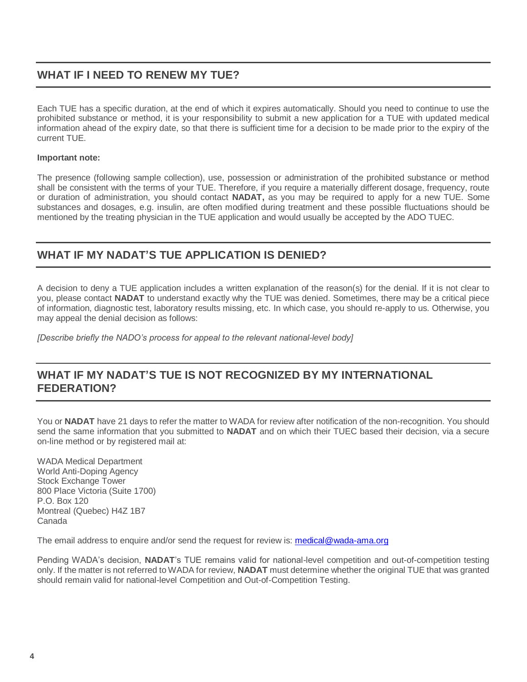### **WHAT IF I NEED TO RENEW MY TUE?**

Each TUE has a specific duration, at the end of which it expires automatically. Should you need to continue to use the prohibited substance or method, it is your responsibility to submit a new application for a TUE with updated medical information ahead of the expiry date, so that there is sufficient time for a decision to be made prior to the expiry of the current TUE.

#### **Important note:**

The presence (following sample collection), use, possession or administration of the prohibited substance or method shall be consistent with the terms of your TUE. Therefore, if you require a materially different dosage, frequency, route or duration of administration, you should contact **NADAT,** as you may be required to apply for a new TUE. Some substances and dosages, e.g. insulin, are often modified during treatment and these possible fluctuations should be mentioned by the treating physician in the TUE application and would usually be accepted by the ADO TUEC.

#### **WHAT IF MY NADAT'S TUE APPLICATION IS DENIED?**

A decision to deny a TUE application includes a written explanation of the reason(s) for the denial. If it is not clear to you, please contact **NADAT** to understand exactly why the TUE was denied. Sometimes, there may be a critical piece of information, diagnostic test, laboratory results missing, etc. In which case, you should re-apply to us. Otherwise, you may appeal the denial decision as follows:

*[Describe briefly the NADO's process for appeal to the relevant national-level body]*

#### **WHAT IF MY NADAT'S TUE IS NOT RECOGNIZED BY MY INTERNATIONAL FEDERATION?**

You or **NADAT** have 21 days to refer the matter to WADA for review after notification of the non-recognition. You should send the same information that you submitted to **NADAT** and on which their TUEC based their decision, via a secure on-line method or by registered mail at:

WADA Medical Department World Anti-Doping Agency Stock Exchange Tower 800 Place Victoria (Suite 1700) P.O. Box 120 Montreal (Quebec) H4Z 1B7 Canada

The email address to enquire and/or send the request for review is: [medical@wada-ama.org](mailto:medical@wada-ama.org)

Pending WADA's decision, **NADAT**'s TUE remains valid for national-level competition and out-of-competition testing only. If the matter is not referred to WADA for review, **NADAT** must determine whether the original TUE that was granted should remain valid for national-level Competition and Out-of-Competition Testing.